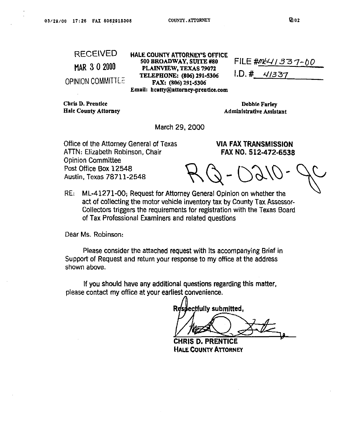## MAR 3-0 2000

**OPINION COMMITTE:** 

**Chris D. Prentice Debbie Farley Debbie Farley** 

**RECEIVED HALE COUNTY ATTORNEY'S OFFICE PLAINVLEW, TEXAS 19012 TELEPBONE: (806) 2915306** I.D.# **4/337 FAX: (806) 291.5306**  Email: hcatty@attorney-prentice.com

FILE #M<sup>LL</sup>/337-00

Hale County Attorney **Administrative Assistant Administrative Assistant** 

**March 29,200O** 

**Office of the Attorney General of Texas AllN: Elizabeth Robinson, Chair Opinion Committee Post Office Box 12548 Austin, Texas 78711-2548** 

 $\Delta$ 

**VIA FAX TRANSMISSION FAX NO. 512-472-6536** 

**RE: ML-41271-00; ReQUeSt for Attorney General Opinion on whether the act of collecting the motor vehicle inventory tax by County Tax Assessor-Collectors triggers the requirements for registration with the Texas Board of Tax Professional Examiners and related questions** 

**Dear Ms. Robinson:** 

**Please consider the attached request with its accompanying Brief in Support of Request and return your response to my office at the address shown above.** 

**if you should have any additional questions regarding this matter,**  please contact my office at your earliest convenience.

Respectfully submitted,

CHRIS D. PRENTICE **HALE COUNTY ATTORNEY**